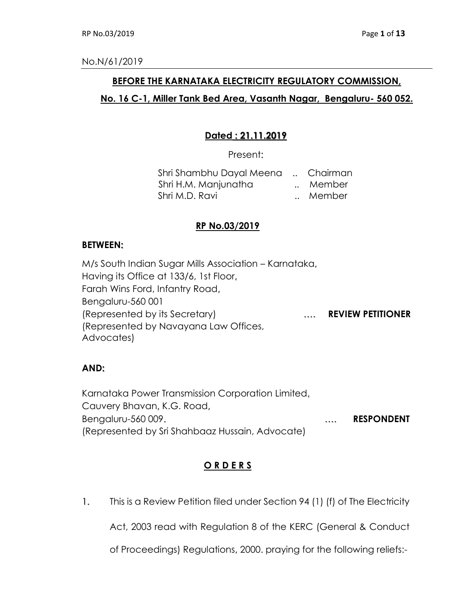#### No.N/61/2019

### **BEFORE THE KARNATAKA ELECTRICITY REGULATORY COMMISSION,**

## **No. 16 C-1, Miller Tank Bed Area, Vasanth Nagar, Bengaluru- 560 052.**

# **Dated : 21.11.2019**

Present:

| Shri Shambhu Dayal Meena  Chairman |        |
|------------------------------------|--------|
| Shri H.M. Manjunatha               | Member |
| Shri M.D. Ravi                     | Member |

## **RP No.03/2019**

### **BETWEEN:**

M/s South Indian Sugar Mills Association – Karnataka, Having its Office at 133/6, 1st Floor, Farah Wins Ford, Infantry Road, Bengaluru-560 001 (Represented by its Secretary) …. **REVIEW PETITIONER** (Represented by Navayana Law Offices, Advocates)

## **AND:**

Karnataka Power Transmission Corporation Limited, Cauvery Bhavan, K.G. Road, Bengaluru-560 009. …. **RESPONDENT** (Represented by Sri Shahbaaz Hussain, Advocate)

# **O R D E R S**

1. This is a Review Petition filed under Section 94 (1) (f) of The Electricity

Act, 2003 read with Regulation 8 of the KERC (General & Conduct

of Proceedings) Regulations, 2000. praying for the following reliefs:-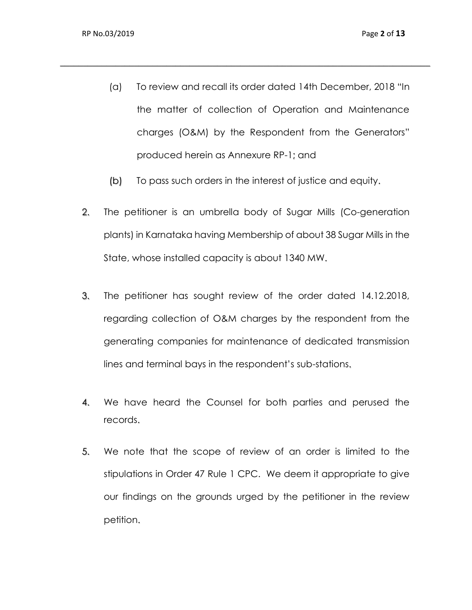- (a) To review and recall its order dated 14th December, 2018 "In the matter of collection of Operation and Maintenance charges (O&M) by the Respondent from the Generators" produced herein as Annexure RP-1; and
- (b) To pass such orders in the interest of justice and equity.
- 2. The petitioner is an umbrella body of Sugar Mills (Co-generation plants) in Karnataka having Membership of about 38 Sugar Mills in the State, whose installed capacity is about 1340 MW.
- 3. The petitioner has sought review of the order dated 14.12.2018, regarding collection of O&M charges by the respondent from the generating companies for maintenance of dedicated transmission lines and terminal bays in the respondent's sub-stations.
- 4. We have heard the Counsel for both parties and perused the records.
- 5. We note that the scope of review of an order is limited to the stipulations in Order 47 Rule 1 CPC. We deem it appropriate to give our findings on the grounds urged by the petitioner in the review petition.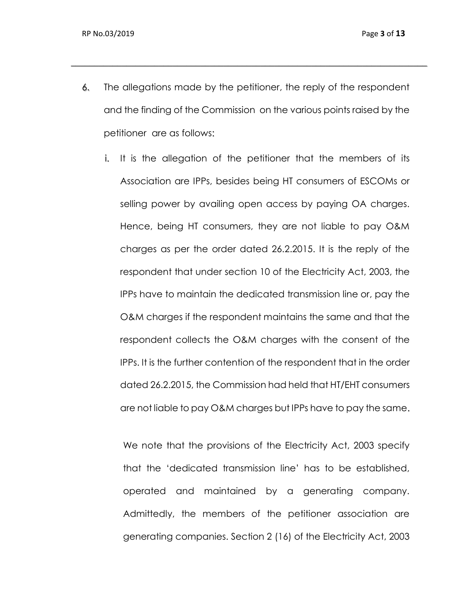6. The allegations made by the petitioner, the reply of the respondent and the finding of the Commission on the various points raised by the petitioner are as follows:

\_\_\_\_\_\_\_\_\_\_\_\_\_\_\_\_\_\_\_\_\_\_\_\_\_\_\_\_\_\_\_\_\_\_\_\_\_\_\_\_\_\_\_\_\_\_\_\_\_\_\_\_\_\_\_\_\_\_\_\_\_\_\_\_\_\_\_\_\_\_\_\_\_\_\_\_\_

i. It is the allegation of the petitioner that the members of its Association are IPPs, besides being HT consumers of ESCOMs or selling power by availing open access by paying OA charges. Hence, being HT consumers, they are not liable to pay O&M charges as per the order dated 26.2.2015. It is the reply of the respondent that under section 10 of the Electricity Act, 2003, the IPPs have to maintain the dedicated transmission line or, pay the O&M charges if the respondent maintains the same and that the respondent collects the O&M charges with the consent of the IPPs. It is the further contention of the respondent that in the order dated 26.2.2015, the Commission had held that HT/EHT consumers are not liable to pay O&M charges but IPPs have to pay the same.

We note that the provisions of the Electricity Act, 2003 specify that the 'dedicated transmission line' has to be established, operated and maintained by a generating company. Admittedly, the members of the petitioner association are generating companies. [Section 2](https://indiankanoon.org/doc/51837307/) (16) of the Electricity Act, 2003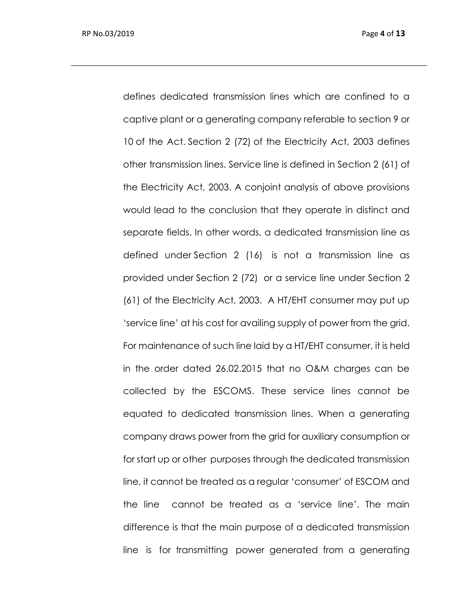defines dedicated transmission lines which are confined to a captive plant or a generating company referable to [section](https://indiankanoon.org/doc/118382499/) 9 or [10](https://indiankanoon.org/doc/118382499/) of the Act. [Section 2](https://indiankanoon.org/doc/51837307/) (72) of the Electricity Act, 2003 defines other transmission lines. Service line is defined in [Section 2](https://indiankanoon.org/doc/51837307/) (61) of the Electricity Act, 2003. A conjoint analysis of above provisions would lead to the conclusion that they operate in distinct and separate fields. In other words, a dedicated transmission line as defined under [Section 2](https://indiankanoon.org/doc/51837307/) (16) is not a transmission line as provided under [Section 2](https://indiankanoon.org/doc/51837307/) (72) or a service line under [Section 2](https://indiankanoon.org/doc/51837307/) [\(61\)](https://indiankanoon.org/doc/51837307/) of the Electricity Act, 2003. A HT/EHT consumer may put up 'service line' at his cost for availing supply of power from the grid. For maintenance of such line laid by a HT/EHT consumer, it is held in the order dated 26.02.2015 that no O&M charges can be collected by the ESCOMS. These service lines cannot be equated to dedicated transmission lines. When a generating company draws power from the grid for auxiliary consumption or for start up or other purposes through the dedicated transmission line, it cannot be treated as a regular 'consumer' of ESCOM and the line cannot be treated as a 'service line'. The main difference is that the main purpose of a dedicated transmission line is for transmitting power generated from a generating

\_\_\_\_\_\_\_\_\_\_\_\_\_\_\_\_\_\_\_\_\_\_\_\_\_\_\_\_\_\_\_\_\_\_\_\_\_\_\_\_\_\_\_\_\_\_\_\_\_\_\_\_\_\_\_\_\_\_\_\_\_\_\_\_\_\_\_\_\_\_\_\_\_\_\_\_\_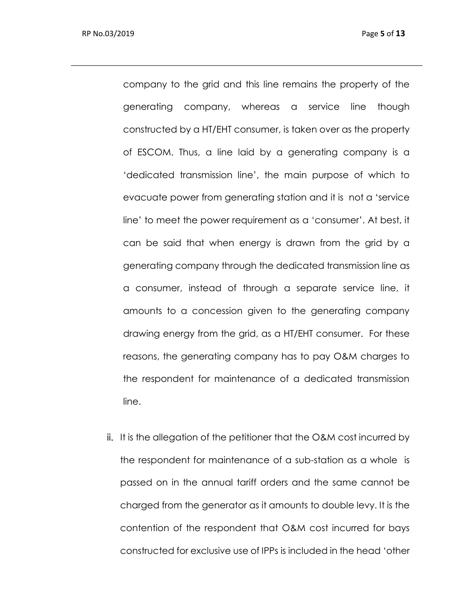company to the grid and this line remains the property of the generating company, whereas a service line though constructed by a HT/EHT consumer, is taken over as the property of ESCOM. Thus, a line laid by a generating company is a 'dedicated transmission line', the main purpose of which to evacuate power from generating station and it is not a 'service line' to meet the power requirement as a 'consumer'. At best, it can be said that when energy is drawn from the grid by a generating company through the dedicated transmission line as a consumer, instead of through a separate service line, it amounts to a concession given to the generating company drawing energy from the grid, as a HT/EHT consumer. For these reasons, the generating company has to pay O&M charges to the respondent for maintenance of a dedicated transmission line.

\_\_\_\_\_\_\_\_\_\_\_\_\_\_\_\_\_\_\_\_\_\_\_\_\_\_\_\_\_\_\_\_\_\_\_\_\_\_\_\_\_\_\_\_\_\_\_\_\_\_\_\_\_\_\_\_\_\_\_\_\_\_\_\_\_\_\_\_\_\_\_\_\_\_\_\_

ii. It is the allegation of the petitioner that the O&M cost incurred by the respondent for maintenance of a sub-station as a whole is passed on in the annual tariff orders and the same cannot be charged from the generator as it amounts to double levy. It is the contention of the respondent that O&M cost incurred for bays constructed for exclusive use of IPPs is included in the head 'other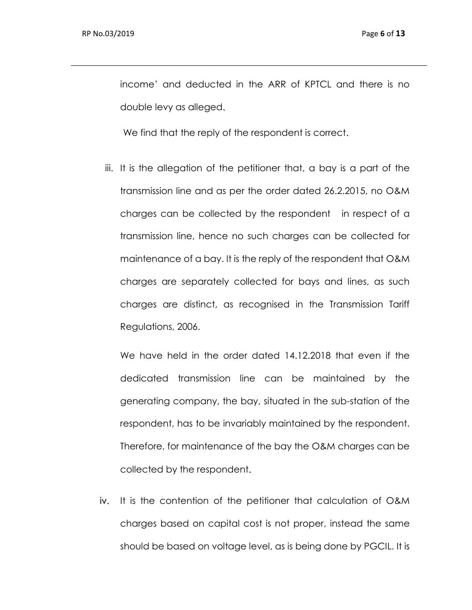income' and deducted in the ARR of KPTCL and there is no double levy as alleged.

\_\_\_\_\_\_\_\_\_\_\_\_\_\_\_\_\_\_\_\_\_\_\_\_\_\_\_\_\_\_\_\_\_\_\_\_\_\_\_\_\_\_\_\_\_\_\_\_\_\_\_\_\_\_\_\_\_\_\_\_\_\_\_\_\_\_\_\_\_\_\_\_\_\_\_\_\_

We find that the reply of the respondent is correct.

iii. It is the allegation of the petitioner that, a bay is a part of the transmission line and as per the order dated 26.2.2015, no O&M charges can be collected by the respondent in respect of a transmission line, hence no such charges can be collected for maintenance of a bay. It is the reply of the respondent that O&M charges are separately collected for bays and lines, as such charges are distinct, as recognised in the Transmission Tariff Regulations, 2006.

We have held in the order dated 14.12.2018 that even if the dedicated transmission line can be maintained by the generating company, the bay, situated in the sub-station of the respondent, has to be invariably maintained by the respondent. Therefore, for maintenance of the bay the O&M charges can be collected by the respondent.

iv. It is the contention of the petitioner that calculation of O&M charges based on capital cost is not proper, instead the same should be based on voltage level, as is being done by PGCIL. It is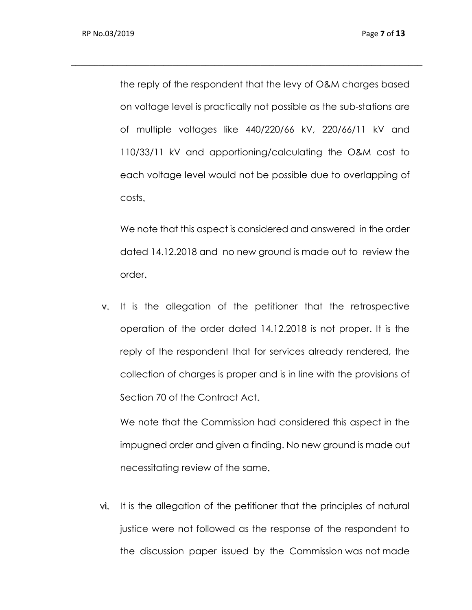the reply of the respondent that the levy of O&M charges based on voltage level is practically not possible as the sub-stations are of multiple voltages like 440/220/66 kV, 220/66/11 kV and 110/33/11 kV and apportioning/calculating the O&M cost to each voltage level would not be possible due to overlapping of costs.

\_\_\_\_\_\_\_\_\_\_\_\_\_\_\_\_\_\_\_\_\_\_\_\_\_\_\_\_\_\_\_\_\_\_\_\_\_\_\_\_\_\_\_\_\_\_\_\_\_\_\_\_\_\_\_\_\_\_\_\_\_\_\_\_\_\_\_\_\_\_\_\_\_\_\_\_

We note that this aspect is considered and answered in the order dated 14.12.2018 and no new ground is made out to review the order.

v. It is the allegation of the petitioner that the retrospective operation of the order dated 14.12.2018 is not proper. It is the reply of the respondent that for services already rendered, the collection of charges is proper and is in line with the provisions of Section 70 of the Contract Act.

We note that the Commission had considered this aspect in the impugned order and given a finding. No new ground is made out necessitating review of the same.

vi. It is the allegation of the petitioner that the principles of natural justice were not followed as the response of the respondent to the discussion paper issued by the Commission was not made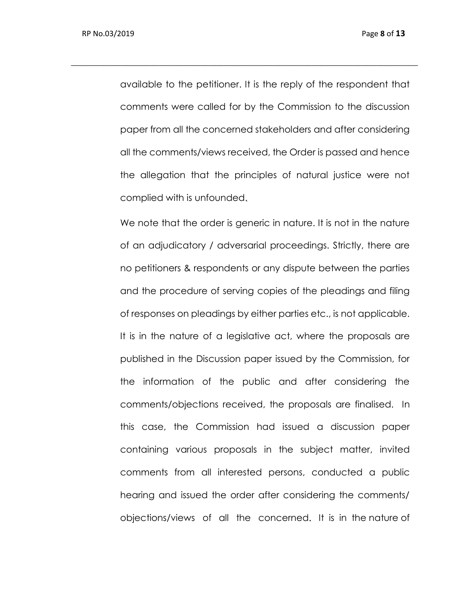available to the petitioner. It is the reply of the respondent that comments were called for by the Commission to the discussion paper from all the concerned stakeholders and after considering all the comments/views received, the Order is passed and hence the allegation that the principles of natural justice were not complied with is unfounded.

\_\_\_\_\_\_\_\_\_\_\_\_\_\_\_\_\_\_\_\_\_\_\_\_\_\_\_\_\_\_\_\_\_\_\_\_\_\_\_\_\_\_\_\_\_\_\_\_\_\_\_\_\_\_\_\_\_\_\_\_\_\_\_\_\_\_\_\_\_\_\_\_\_\_\_

We note that the order is generic in nature. It is not in the nature of an adjudicatory / adversarial proceedings. Strictly, there are no petitioners & respondents or any dispute between the parties and the procedure of serving copies of the pleadings and filing of responses on pleadings by either parties etc., is not applicable. It is in the nature of a legislative act, where the proposals are published in the Discussion paper issued by the Commission, for the information of the public and after considering the comments/objections received, the proposals are finalised. In this case, the Commission had issued a discussion paper containing various proposals in the subject matter, invited comments from all interested persons, conducted a public hearing and issued the order after considering the comments/ objections/views of all the concerned. It is in the nature of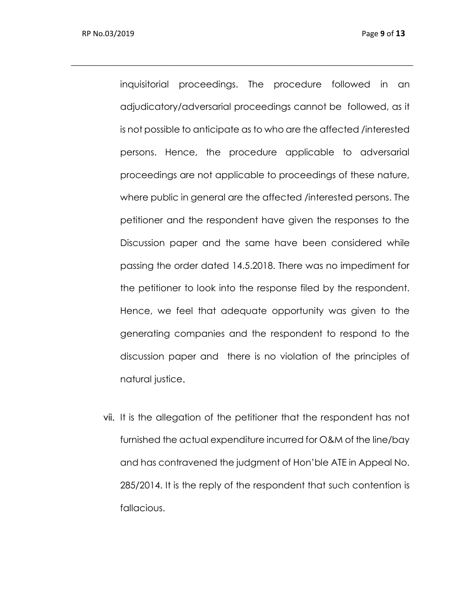RP No.03/2019 Page **9** of **13**

inquisitorial proceedings. The procedure followed in an adjudicatory/adversarial proceedings cannot be followed, as it is not possible to anticipate as to who are the affected /interested persons. Hence, the procedure applicable to adversarial proceedings are not applicable to proceedings of these nature, where public in general are the affected /interested persons. The petitioner and the respondent have given the responses to the Discussion paper and the same have been considered while passing the order dated 14.5.2018. There was no impediment for the petitioner to look into the response filed by the respondent. Hence, we feel that adequate opportunity was given to the generating companies and the respondent to respond to the discussion paper and there is no violation of the principles of natural justice.

 $\_$  , and the set of the set of the set of the set of the set of the set of the set of the set of the set of the set of the set of the set of the set of the set of the set of the set of the set of the set of the set of th

vii. It is the allegation of the petitioner that the respondent has not furnished the actual expenditure incurred for O&M of the line/bay and has contravened the judgment of Hon'ble ATE in Appeal No. 285/2014. It is the reply of the respondent that such contention is fallacious.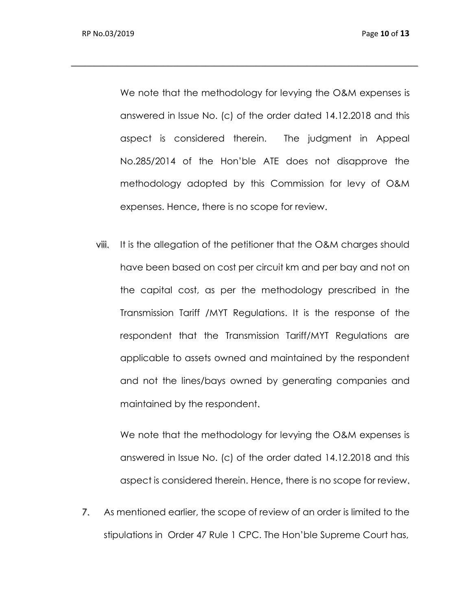We note that the methodology for levying the O&M expenses is answered in Issue No. (c) of the order dated 14.12.2018 and this aspect is considered therein. The judgment in Appeal No.285/2014 of the Hon'ble ATE does not disapprove the methodology adopted by this Commission for levy of O&M expenses. Hence, there is no scope for review.

\_\_\_\_\_\_\_\_\_\_\_\_\_\_\_\_\_\_\_\_\_\_\_\_\_\_\_\_\_\_\_\_\_\_\_\_\_\_\_\_\_\_\_\_\_\_\_\_\_\_\_\_\_\_\_\_\_\_\_\_\_\_\_\_\_\_\_\_\_\_\_\_\_\_\_

viii. It is the allegation of the petitioner that the O&M charges should have been based on cost per circuit km and per bay and not on the capital cost, as per the methodology prescribed in the Transmission Tariff /MYT Regulations. It is the response of the respondent that the Transmission Tariff/MYT Regulations are applicable to assets owned and maintained by the respondent and not the lines/bays owned by generating companies and maintained by the respondent.

We note that the methodology for levying the O&M expenses is answered in Issue No. (c) of the order dated 14.12.2018 and this aspect is considered therein. Hence, there is no scope for review.

7. As mentioned earlier, the scope of review of an order is limited to the stipulations in Order 47 Rule 1 CPC. The Hon'ble Supreme Court has,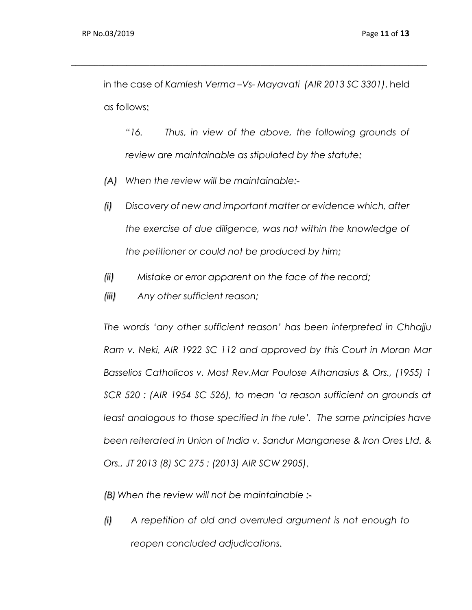in the case of *Kamlesh Verma –Vs- Mayavati (AIR 2013 SC 3301)*, held as follows:

\_\_\_\_\_\_\_\_\_\_\_\_\_\_\_\_\_\_\_\_\_\_\_\_\_\_\_\_\_\_\_\_\_\_\_\_\_\_\_\_\_\_\_\_\_\_\_\_\_\_\_\_\_\_\_\_\_\_\_\_\_\_\_\_\_\_\_\_\_\_\_\_\_\_\_\_\_

*"16. Thus, in view of the above, the following grounds of review are maintainable as stipulated by the statute:*

- *(A) When the review will be maintainable:-*
- *(i) Discovery of new and important matter or evidence which, after the exercise of due diligence, was not within the knowledge of the petitioner or could not be produced by him;*
- *(ii) Mistake or error apparent on the face of the record;*
- *(iii) Any other sufficient reason;*

*The words 'any other sufficient reason' has been interpreted in Chhajju Ram v. Neki, AIR 1922 SC 112 and approved by this Court in Moran Mar Basselios Catholicos v. Most Rev.Mar Poulose Athanasius & Ors., (1955) 1 SCR 520 : (AIR 1954 SC 526), to mean 'a reason sufficient on grounds at*  least analogous to those specified in the rule'. The same principles have *been reiterated in Union of India v. Sandur Manganese & Iron Ores Ltd. & Ors., JT 2013 (8) SC 275 ; (2013) AIR SCW 2905).*

*(B) When the review will not be maintainable :-*

*(i) A repetition of old and overruled argument is not enough to reopen concluded adjudications.*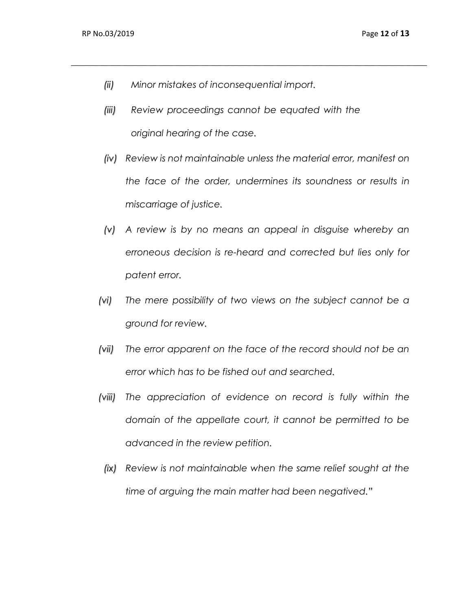- *(ii) Minor mistakes of inconsequential import.*
- *(iii) Review proceedings cannot be equated with the original hearing of the case.*

*\_\_\_\_\_\_\_\_\_\_\_\_\_\_\_\_\_\_\_\_\_\_\_\_\_\_\_\_\_\_\_\_\_\_\_\_\_\_\_\_\_\_\_\_\_\_\_\_\_\_\_\_\_\_\_\_\_\_\_\_\_\_\_\_\_\_\_\_\_\_\_\_\_\_\_\_\_*

- *(iv) Review is not maintainable unless the material error, manifest on the face of the order, undermines its soundness or results in miscarriage of justice.*
- *(v) A review is by no means an appeal in disguise whereby an erroneous decision is re-heard and corrected but lies only for patent error.*
- *(vi) The mere possibility of two views on the subject cannot be a ground for review.*
- *(vii) The error apparent on the face of the record should not be an error which has to be fished out and searched.*
- *(viii) The appreciation of evidence on record is fully within the domain of the appellate court, it cannot be permitted to be advanced in the review petition.*
	- *(ix) Review is not maintainable when the same relief sought at the time of arguing the main matter had been negatived."*